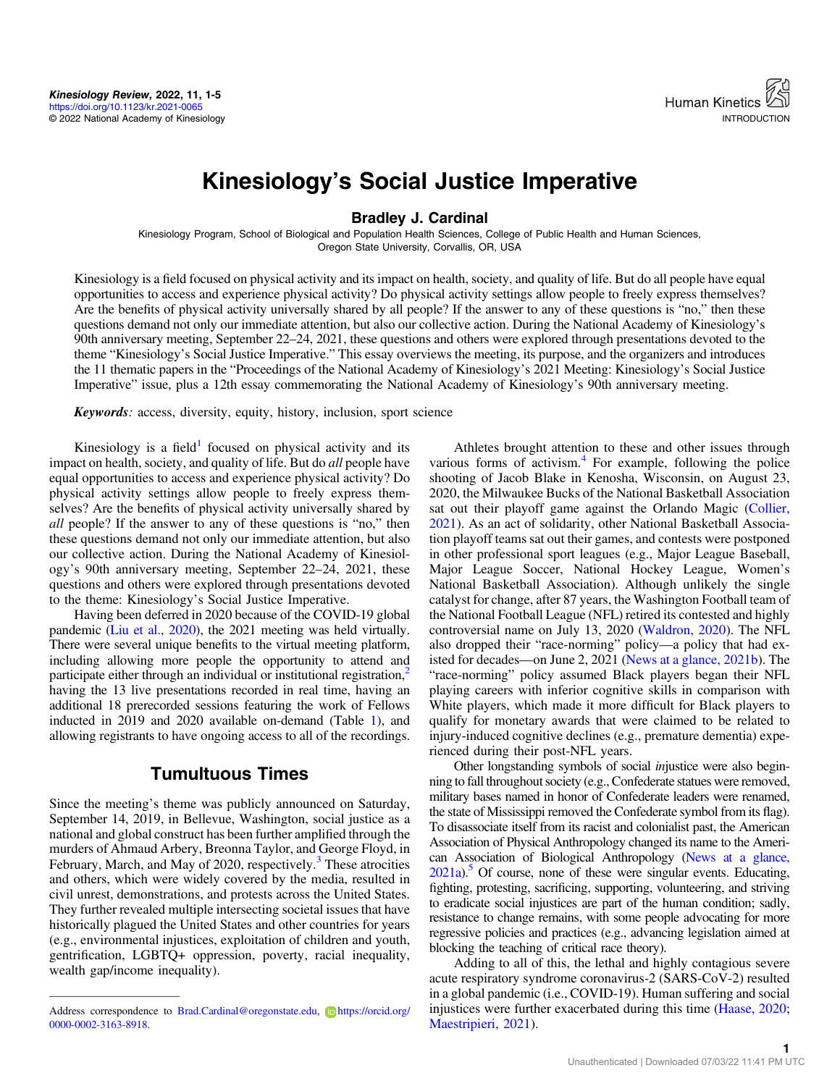

# Kinesiology's Social Justice Imperative

Bradley J. Cardinal

Kinesiology Program, School of Biological and Population Health Sciences, College of Public Health and Human Sciences, Oregon State University, Corvallis, OR, USA

Kinesiology is a field focused on physical activity and its impact on health, society, and quality of life. But do all people have equal opportunities to access and experience physical activity? Do physical activity settings allow people to freely express themselves? Are the benefits of physical activity universally shared by all people? If the answer to any of these questions is "no," then these questions demand not only our immediate attention, but also our collective action. During the National Academy of Kinesiology's 90th anniversary meeting, September 22–24, 2021, these questions and others were explored through presentations devoted to the theme "Kinesiology's Social Justice Imperative." This essay overviews the meeting, its purpose, and the organizers and introduces the 11 thematic papers in the "Proceedings of the National Academy of Kinesiology's 2021 Meeting: Kinesiology's Social Justice Imperative" issue, plus a 12th essay commemorating the National Academy of Kinesiology's 90th anniversary meeting.

Keywords: access, diversity, equity, history, inclusion, sport science

Kinesiology is a field<sup>[1](#page-3-0)</sup> focused on physical activity and its impact on health, society, and quality of life. But do all people have equal opportunities to access and experience physical activity? Do physical activity settings allow people to freely express themselves? Are the benefits of physical activity universally shared by all people? If the answer to any of these questions is "no," then these questions demand not only our immediate attention, but also our collective action. During the National Academy of Kinesiology's 90th anniversary meeting, September 22–24, 2021, these questions and others were explored through presentations devoted to the theme: Kinesiology's Social Justice Imperative.

Having been deferred in 2020 because of the COVID-19 global pandemic [\(Liu et al., 2020\)](#page-4-0), the 2021 meeting was held virtually. There were several unique benefits to the virtual meeting platform, including allowing more people the opportunity to attend and participate either through an individual or institutional registration,<sup>2</sup> having the 13 live presentations recorded in real time, having an additional 18 prerecorded sessions featuring the work of Fellows inducted in 2019 and 2020 available on-demand (Table [1\)](#page-1-0), and allowing registrants to have ongoing access to all of the recordings.

### Tumultuous Times

Since the meeting's theme was publicly announced on Saturday, September 14, 2019, in Bellevue, Washington, social justice as a national and global construct has been further amplified through the murders of Ahmaud Arbery, Breonna Taylor, and George Floyd, in February, March, and May of 2020, respectively.<sup>[3](#page-3-0)</sup> These atrocities and others, which were widely covered by the media, resulted in civil unrest, demonstrations, and protests across the United States. They further revealed multiple intersecting societal issues that have historically plagued the United States and other countries for years (e.g., environmental injustices, exploitation of children and youth, gentrification, LGBTQ+ oppression, poverty, racial inequality, wealth gap/income inequality).

Athletes brought attention to these and other issues through various forms of activism.<sup>[4](#page-3-0)</sup> For example, following the police shooting of Jacob Blake in Kenosha, Wisconsin, on August 23, 2020, the Milwaukee Bucks of the National Basketball Association sat out their playoff game against the Orlando Magic [\(Collier,](#page-4-0) [2021](#page-4-0)). As an act of solidarity, other National Basketball Association playoff teams sat out their games, and contests were postponed in other professional sport leagues (e.g., Major League Baseball, Major League Soccer, National Hockey League, Women's National Basketball Association). Although unlikely the single catalyst for change, after 87 years, the Washington Football team of the National Football League (NFL) retired its contested and highly controversial name on July 13, 2020 ([Waldron, 2020](#page-4-0)). The NFL also dropped their "race-norming" policy—a policy that had existed for decades—on June 2, 2021 ([News at a glance, 2021b\)](#page-4-0). The "race-norming" policy assumed Black players began their NFL playing careers with inferior cognitive skills in comparison with White players, which made it more difficult for Black players to qualify for monetary awards that were claimed to be related to injury-induced cognitive declines (e.g., premature dementia) experienced during their post-NFL years.

Other longstanding symbols of social injustice were also beginning to fall throughout society (e.g., Confederate statues were removed, military bases named in honor of Confederate leaders were renamed, the state of Mississippi removed the Confederate symbol from its flag). To disassociate itself from its racist and colonialist past, the American Association of Physical Anthropology changed its name to the American Association of Biological Anthropology [\(News at a glance,](#page-4-0)  $2021a$ .<sup>5</sup> Of course, none of these were singular events. Educating, fighting, protesting, sacrificing, supporting, volunteering, and striving to eradicate social injustices are part of the human condition; sadly, resistance to change remains, with some people advocating for more regressive policies and practices (e.g., advancing legislation aimed at blocking the teaching of critical race theory).

Adding to all of this, the lethal and highly contagious severe acute respiratory syndrome coronavirus-2 (SARS-CoV-2) resulted in a global pandemic (i.e., COVID-19). Human suffering and social injustices were further exacerbated during this time ([Haase, 2020](#page-4-0); [Maestripieri, 2021\)](#page-4-0).

Address correspondence to [Brad.Cardinal@oregonstate.edu](mailto:Brad.Cardinal@oregonstate.edu), D[https://orcid.org/](https://orcid.org/0000-0002-3163-8918) [0000-0002-3163-8918.](https://orcid.org/0000-0002-3163-8918)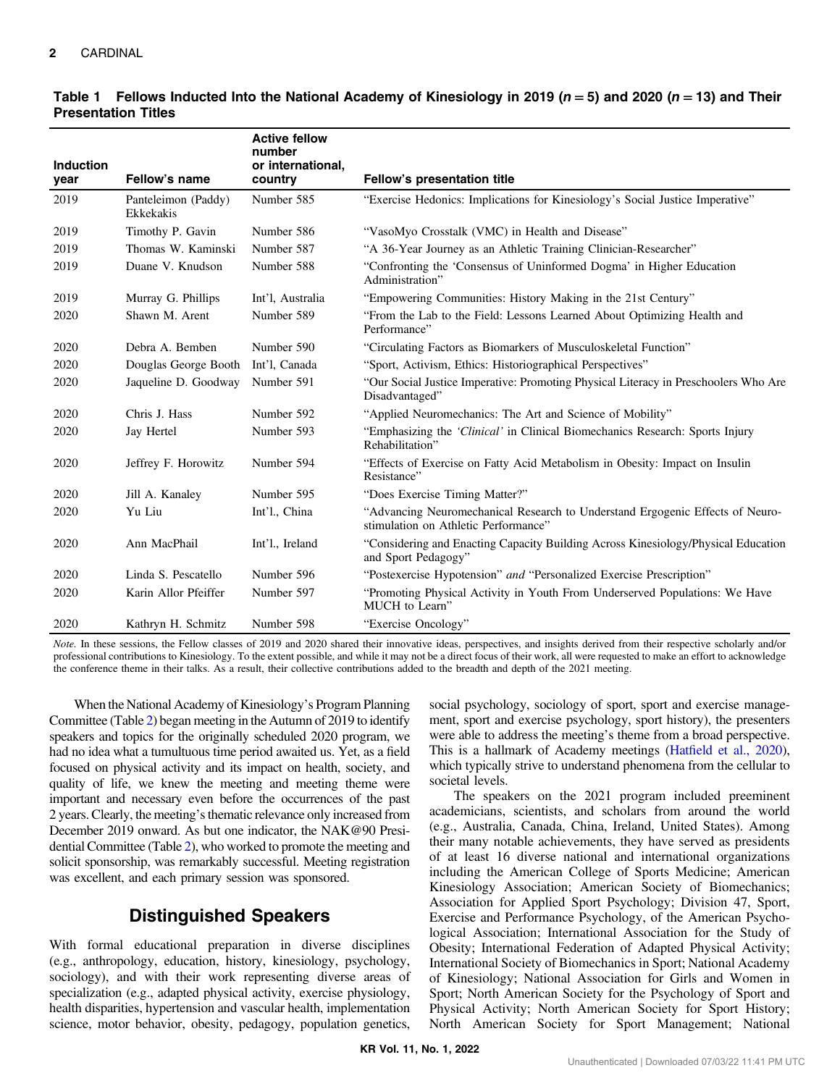| Induction<br>year | Fellow's name                    | <b>Active fellow</b><br>number<br>or international,<br>country | Fellow's presentation title                                                                                           |
|-------------------|----------------------------------|----------------------------------------------------------------|-----------------------------------------------------------------------------------------------------------------------|
| 2019              | Panteleimon (Paddy)<br>Ekkekakis | Number 585                                                     | "Exercise Hedonics: Implications for Kinesiology's Social Justice Imperative"                                         |
| 2019              | Timothy P. Gavin                 | Number 586                                                     | "VasoMyo Crosstalk (VMC) in Health and Disease"                                                                       |
| 2019              | Thomas W. Kaminski               | Number 587                                                     | "A 36-Year Journey as an Athletic Training Clinician-Researcher"                                                      |
| 2019              | Duane V. Knudson                 | Number 588                                                     | "Confronting the 'Consensus of Uninformed Dogma' in Higher Education<br>Administration"                               |
| 2019              | Murray G. Phillips               | Int'l, Australia                                               | "Empowering Communities: History Making in the 21st Century"                                                          |
| 2020              | Shawn M. Arent                   | Number 589                                                     | "From the Lab to the Field: Lessons Learned About Optimizing Health and<br>Performance"                               |
| 2020              | Debra A. Bemben                  | Number 590                                                     | "Circulating Factors as Biomarkers of Musculoskeletal Function"                                                       |
| 2020              | Douglas George Booth             | Int'l, Canada                                                  | "Sport, Activism, Ethics: Historiographical Perspectives"                                                             |
| 2020              | Jaqueline D. Goodway             | Number 591                                                     | "Our Social Justice Imperative: Promoting Physical Literacy in Preschoolers Who Are<br>Disadvantaged"                 |
| 2020              | Chris J. Hass                    | Number 592                                                     | "Applied Neuromechanics: The Art and Science of Mobility"                                                             |
| 2020              | Jay Hertel                       | Number 593                                                     | "Emphasizing the 'Clinical' in Clinical Biomechanics Research: Sports Injury<br>Rehabilitation"                       |
| 2020              | Jeffrey F. Horowitz              | Number 594                                                     | "Effects of Exercise on Fatty Acid Metabolism in Obesity: Impact on Insulin<br>Resistance"                            |
| 2020              | Jill A. Kanaley                  | Number 595                                                     | "Does Exercise Timing Matter?"                                                                                        |
| 2020              | Yu Liu                           | Int'l., China                                                  | "Advancing Neuromechanical Research to Understand Ergogenic Effects of Neuro-<br>stimulation on Athletic Performance" |
| 2020              | Ann MacPhail                     | Int'l., Ireland                                                | "Considering and Enacting Capacity Building Across Kinesiology/Physical Education<br>and Sport Pedagogy"              |
| 2020              | Linda S. Pescatello              | Number 596                                                     | "Postexercise Hypotension" and "Personalized Exercise Prescription"                                                   |
| 2020              | Karin Allor Pfeiffer             | Number 597                                                     | "Promoting Physical Activity in Youth From Underserved Populations: We Have<br>MUCH to Learn"                         |
| 2020              | Kathryn H. Schmitz               | Number 598                                                     | "Exercise Oncology"                                                                                                   |

#### <span id="page-1-0"></span>Table 1 Fellows Inducted Into the National Academy of Kinesiology in 2019 ( $n = 5$ ) and 2020 ( $n = 13$ ) and Their Presentation Titles

Note. In these sessions, the Fellow classes of 2019 and 2020 shared their innovative ideas, perspectives, and insights derived from their respective scholarly and/or professional contributions to Kinesiology. To the extent possible, and while it may not be a direct focus of their work, all were requested to make an effort to acknowledge the conference theme in their talks. As a result, their collective contributions added to the breadth and depth of the 2021 meeting.

When the National Academy of Kinesiology's Program Planning Committee (Table [2\)](#page-2-0) began meeting in the Autumn of 2019 to identify speakers and topics for the originally scheduled 2020 program, we had no idea what a tumultuous time period awaited us. Yet, as a field focused on physical activity and its impact on health, society, and quality of life, we knew the meeting and meeting theme were important and necessary even before the occurrences of the past 2 years. Clearly, the meeting's thematic relevance only increased from December 2019 onward. As but one indicator, the NAK@90 Presidential Committee (Table [2](#page-2-0)), who worked to promote the meeting and solicit sponsorship, was remarkably successful. Meeting registration was excellent, and each primary session was sponsored.

# Distinguished Speakers

With formal educational preparation in diverse disciplines (e.g., anthropology, education, history, kinesiology, psychology, sociology), and with their work representing diverse areas of specialization (e.g., adapted physical activity, exercise physiology, health disparities, hypertension and vascular health, implementation science, motor behavior, obesity, pedagogy, population genetics,

social psychology, sociology of sport, sport and exercise management, sport and exercise psychology, sport history), the presenters were able to address the meeting's theme from a broad perspective. This is a hallmark of Academy meetings (Hatfi[eld et al., 2020](#page-4-0)), which typically strive to understand phenomena from the cellular to societal levels.

The speakers on the 2021 program included preeminent academicians, scientists, and scholars from around the world (e.g., Australia, Canada, China, Ireland, United States). Among their many notable achievements, they have served as presidents of at least 16 diverse national and international organizations including the American College of Sports Medicine; American Kinesiology Association; American Society of Biomechanics; Association for Applied Sport Psychology; Division 47, Sport, Exercise and Performance Psychology, of the American Psychological Association; International Association for the Study of Obesity; International Federation of Adapted Physical Activity; International Society of Biomechanics in Sport; National Academy of Kinesiology; National Association for Girls and Women in Sport; North American Society for the Psychology of Sport and Physical Activity; North American Society for Sport History; North American Society for Sport Management; National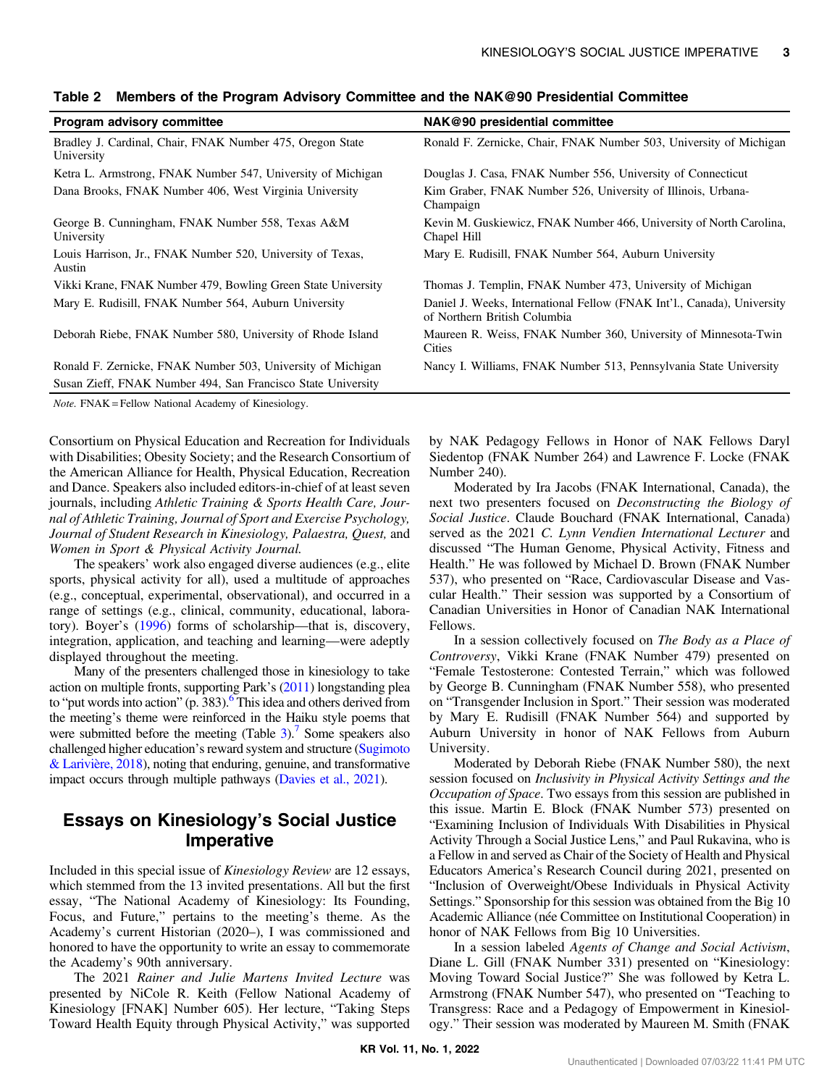| <b>Program advisory committee</b>                                       | NAK@90 presidential committee                                                                           |
|-------------------------------------------------------------------------|---------------------------------------------------------------------------------------------------------|
| Bradley J. Cardinal, Chair, FNAK Number 475, Oregon State<br>University | Ronald F. Zernicke, Chair, FNAK Number 503, University of Michigan                                      |
| Ketra L. Armstrong, FNAK Number 547, University of Michigan             | Douglas J. Casa, FNAK Number 556, University of Connecticut                                             |
| Dana Brooks, FNAK Number 406, West Virginia University                  | Kim Graber, FNAK Number 526, University of Illinois, Urbana-<br>Champaign                               |
| George B. Cunningham, FNAK Number 558, Texas A&M<br>University          | Kevin M. Guskiewicz, FNAK Number 466, University of North Carolina,<br>Chapel Hill                      |
| Louis Harrison, Jr., FNAK Number 520, University of Texas,<br>Austin    | Mary E. Rudisill, FNAK Number 564, Auburn University                                                    |
| Vikki Krane, FNAK Number 479, Bowling Green State University            | Thomas J. Templin, FNAK Number 473, University of Michigan                                              |
| Mary E. Rudisill, FNAK Number 564, Auburn University                    | Daniel J. Weeks, International Fellow (FNAK Int'l., Canada), University<br>of Northern British Columbia |
| Deborah Riebe, FNAK Number 580, University of Rhode Island              | Maureen R. Weiss, FNAK Number 360, University of Minnesota-Twin<br>Cities                               |
| Ronald F. Zernicke, FNAK Number 503, University of Michigan             | Nancy I. Williams, FNAK Number 513, Pennsylvania State University                                       |
| Susan Zieff, FNAK Number 494, San Francisco State University            |                                                                                                         |
|                                                                         |                                                                                                         |

#### <span id="page-2-0"></span>Table 2 Members of the Program Advisory Committee and the NAK@90 Presidential Committee

Note. FNAK = Fellow National Academy of Kinesiology.

Consortium on Physical Education and Recreation for Individuals with Disabilities; Obesity Society; and the Research Consortium of the American Alliance for Health, Physical Education, Recreation and Dance. Speakers also included editors-in-chief of at least seven journals, including Athletic Training & Sports Health Care, Journal of Athletic Training, Journal of Sport and Exercise Psychology, Journal of Student Research in Kinesiology, Palaestra, Quest, and Women in Sport & Physical Activity Journal.

The speakers' work also engaged diverse audiences (e.g., elite sports, physical activity for all), used a multitude of approaches (e.g., conceptual, experimental, observational), and occurred in a range of settings (e.g., clinical, community, educational, laboratory). Boyer's [\(1996](#page-4-0)) forms of scholarship—that is, discovery, integration, application, and teaching and learning—were adeptly displayed throughout the meeting.

Many of the presenters challenged those in kinesiology to take action on multiple fronts, supporting Park's ([2011](#page-4-0)) longstanding plea to "put words into action" (p. 383).<sup>6</sup> This idea and others derived from the meeting's theme were reinforced in the Haiku style poems that were submitted before the meeting  $(Table 3)$  $(Table 3)$  $(Table 3)$ .<sup>[7](#page-4-0)</sup> Some speakers also challenged higher education's reward system and structure ([Sugimoto](#page-4-0) [& Larivière, 2018](#page-4-0)), noting that enduring, genuine, and transformative impact occurs through multiple pathways [\(Davies et al., 2021](#page-4-0)).

# Essays on Kinesiology's Social Justice Imperative

Included in this special issue of Kinesiology Review are 12 essays, which stemmed from the 13 invited presentations. All but the first essay, "The National Academy of Kinesiology: Its Founding, Focus, and Future," pertains to the meeting's theme. As the Academy's current Historian (2020–), I was commissioned and honored to have the opportunity to write an essay to commemorate the Academy's 90th anniversary.

The 2021 Rainer and Julie Martens Invited Lecture was presented by NiCole R. Keith (Fellow National Academy of Kinesiology [FNAK] Number 605). Her lecture, "Taking Steps Toward Health Equity through Physical Activity," was supported by NAK Pedagogy Fellows in Honor of NAK Fellows Daryl Siedentop (FNAK Number 264) and Lawrence F. Locke (FNAK Number 240).

Moderated by Ira Jacobs (FNAK International, Canada), the next two presenters focused on Deconstructing the Biology of Social Justice. Claude Bouchard (FNAK International, Canada) served as the 2021 C. Lynn Vendien International Lecturer and discussed "The Human Genome, Physical Activity, Fitness and Health." He was followed by Michael D. Brown (FNAK Number 537), who presented on "Race, Cardiovascular Disease and Vascular Health." Their session was supported by a Consortium of Canadian Universities in Honor of Canadian NAK International Fellows.

In a session collectively focused on The Body as a Place of Controversy, Vikki Krane (FNAK Number 479) presented on "Female Testosterone: Contested Terrain," which was followed by George B. Cunningham (FNAK Number 558), who presented on "Transgender Inclusion in Sport." Their session was moderated by Mary E. Rudisill (FNAK Number 564) and supported by Auburn University in honor of NAK Fellows from Auburn University.

Moderated by Deborah Riebe (FNAK Number 580), the next session focused on Inclusivity in Physical Activity Settings and the Occupation of Space. Two essays from this session are published in this issue. Martin E. Block (FNAK Number 573) presented on "Examining Inclusion of Individuals With Disabilities in Physical Activity Through a Social Justice Lens," and Paul Rukavina, who is a Fellow in and served as Chair of the Society of Health and Physical Educators America's Research Council during 2021, presented on "Inclusion of Overweight/Obese Individuals in Physical Activity Settings." Sponsorship for this session was obtained from the Big 10 Academic Alliance (née Committee on Institutional Cooperation) in honor of NAK Fellows from Big 10 Universities.

In a session labeled Agents of Change and Social Activism, Diane L. Gill (FNAK Number 331) presented on "Kinesiology: Moving Toward Social Justice?" She was followed by Ketra L. Armstrong (FNAK Number 547), who presented on "Teaching to Transgress: Race and a Pedagogy of Empowerment in Kinesiology." Their session was moderated by Maureen M. Smith (FNAK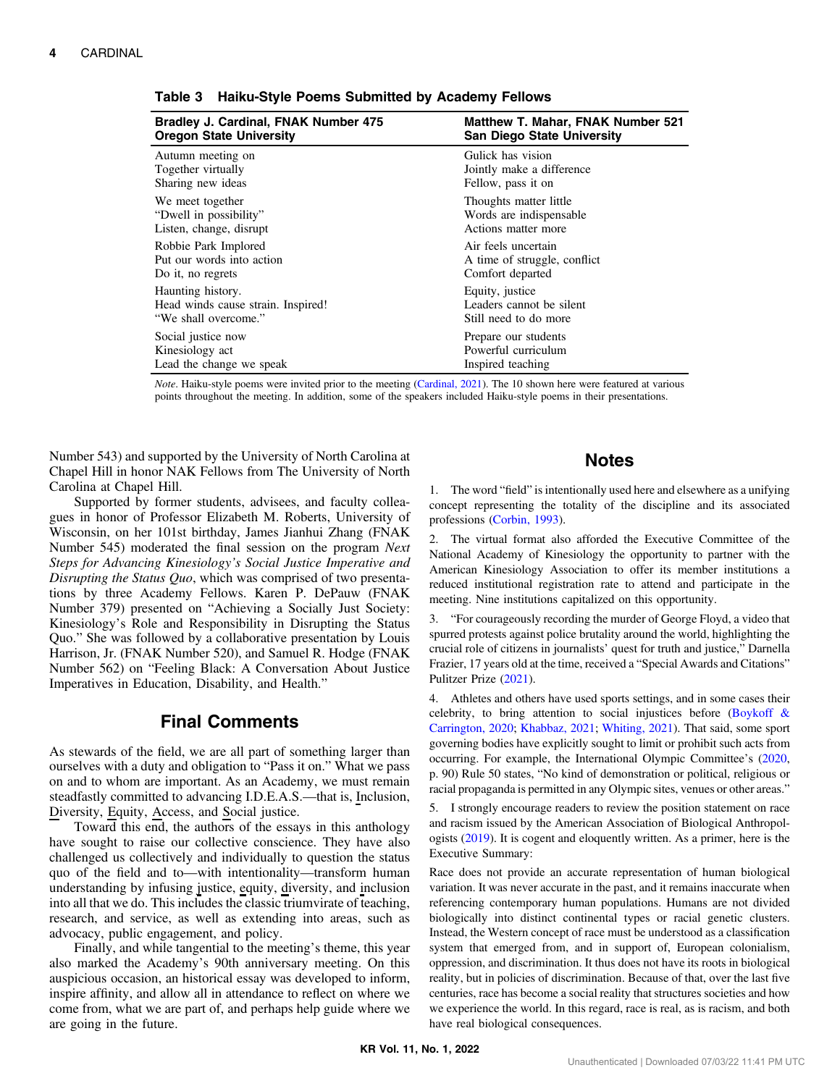| Bradley J. Cardinal, FNAK Number 475 | <b>Matthew T. Mahar, FNAK Number 521</b> |
|--------------------------------------|------------------------------------------|
| <b>Oregon State University</b>       | <b>San Diego State University</b>        |
| Autumn meeting on                    | Gulick has vision                        |
| Together virtually                   | Jointly make a difference                |
| Sharing new ideas                    | Fellow, pass it on                       |
| We meet together                     | Thoughts matter little                   |
| "Dwell in possibility"               | Words are indispensable.                 |
| Listen, change, disrupt              | Actions matter more                      |
| Robbie Park Implored                 | Air feels uncertain                      |
| Put our words into action            | A time of struggle, conflict             |
| Do it, no regrets                    | Comfort departed                         |
| Haunting history.                    | Equity, justice                          |
| Head winds cause strain. Inspired!   | Leaders cannot be silent                 |
| "We shall overcome."                 | Still need to do more                    |
| Social justice now                   | Prepare our students                     |
| Kinesiology act                      | Powerful curriculum                      |
| Lead the change we speak             | Inspired teaching                        |

<span id="page-3-0"></span>Table 3 Haiku-Style Poems Submitted by Academy Fellows

Note. Haiku-style poems were invited prior to the meeting [\(Cardinal, 2021\)](#page-4-0). The 10 shown here were featured at various points throughout the meeting. In addition, some of the speakers included Haiku-style poems in their presentations.

Number 543) and supported by the University of North Carolina at Chapel Hill in honor NAK Fellows from The University of North Carolina at Chapel Hill.

Supported by former students, advisees, and faculty colleagues in honor of Professor Elizabeth M. Roberts, University of Wisconsin, on her 101st birthday, James Jianhui Zhang (FNAK Number 545) moderated the final session on the program Next Steps for Advancing Kinesiology's Social Justice Imperative and Disrupting the Status Quo, which was comprised of two presentations by three Academy Fellows. Karen P. DePauw (FNAK Number 379) presented on "Achieving a Socially Just Society: Kinesiology's Role and Responsibility in Disrupting the Status Quo." She was followed by a collaborative presentation by Louis Harrison, Jr. (FNAK Number 520), and Samuel R. Hodge (FNAK Number 562) on "Feeling Black: A Conversation About Justice Imperatives in Education, Disability, and Health."

## Final Comments

As stewards of the field, we are all part of something larger than ourselves with a duty and obligation to "Pass it on." What we pass on and to whom are important. As an Academy, we must remain steadfastly committed to advancing I.D.E.A.S.—that is, Inclusion, Diversity, Equity, Access, and Social justice.

Toward this end, the authors of the essays in this anthology have sought to raise our collective conscience. They have also challenged us collectively and individually to question the status quo of the field and to—with intentionality—transform human understanding by infusing justice, equity, diversity, and inclusion into all that we do. This includes the classic triumvirate of teaching, research, and service, as well as extending into areas, such as advocacy, public engagement, and policy.

Finally, and while tangential to the meeting's theme, this year also marked the Academy's 90th anniversary meeting. On this auspicious occasion, an historical essay was developed to inform, inspire affinity, and allow all in attendance to reflect on where we come from, what we are part of, and perhaps help guide where we are going in the future.

#### **Notes**

1. The word "field" is intentionally used here and elsewhere as a unifying concept representing the totality of the discipline and its associated professions [\(Corbin, 1993](#page-4-0)).

2. The virtual format also afforded the Executive Committee of the National Academy of Kinesiology the opportunity to partner with the American Kinesiology Association to offer its member institutions a reduced institutional registration rate to attend and participate in the meeting. Nine institutions capitalized on this opportunity.

3. "For courageously recording the murder of George Floyd, a video that spurred protests against police brutality around the world, highlighting the crucial role of citizens in journalists' quest for truth and justice," Darnella Frazier, 17 years old at the time, received a "Special Awards and Citations" Pulitzer Prize ([2021\)](#page-4-0).

4. Athletes and others have used sports settings, and in some cases their celebrity, to bring attention to social injustices before ([Boykoff &](#page-4-0) [Carrington, 2020](#page-4-0); [Khabbaz, 2021;](#page-4-0) [Whiting, 2021](#page-4-0)). That said, some sport governing bodies have explicitly sought to limit or prohibit such acts from occurring. For example, the International Olympic Committee's ([2020,](#page-4-0) p. 90) Rule 50 states, "No kind of demonstration or political, religious or racial propaganda is permitted in any Olympic sites, venues or other areas."

5. I strongly encourage readers to review the position statement on race and racism issued by the American Association of Biological Anthropologists [\(2019](#page-4-0)). It is cogent and eloquently written. As a primer, here is the Executive Summary:

Race does not provide an accurate representation of human biological variation. It was never accurate in the past, and it remains inaccurate when referencing contemporary human populations. Humans are not divided biologically into distinct continental types or racial genetic clusters. Instead, the Western concept of race must be understood as a classification system that emerged from, and in support of, European colonialism, oppression, and discrimination. It thus does not have its roots in biological reality, but in policies of discrimination. Because of that, over the last five centuries, race has become a social reality that structures societies and how we experience the world. In this regard, race is real, as is racism, and both have real biological consequences.